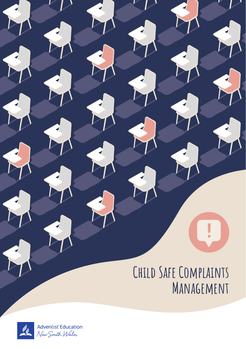# **Child Safe Complaints Management**

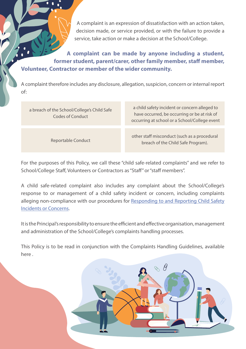A complaint is an expression of dissatisfaction with an action taken, decision made, or service provided, or with the failure to provide a service, take action or make a decision at the School/College.

**A complaint can be made by anyone including a student, former student, parent/carer, other family member, staff member, Volunteer, Contractor or member of the wider community.**

A complaint therefore includes any disclosure, allegation, suspicion, concern or internal report of:

| a breach of the School/College's Child Safe<br>Codes of Conduct | a child safety incident or concern alleged to<br>have occurred, be occurring or be at risk of<br>occurring at school or a School/College event |
|-----------------------------------------------------------------|------------------------------------------------------------------------------------------------------------------------------------------------|
|                                                                 |                                                                                                                                                |
| Reportable Conduct                                              | other staff misconduct (such as a procedural<br>breach of the Child Safe Program).                                                             |

For the purposes of this Policy, we call these "child safe-related complaints" and we refer to School/College Staff, Volunteers or Contractors as "Staff" or "staff members".

A child safe-related complaint also includes any complaint about the School/College's response to or management of a child safety incident or concern, including complaints alleging non-compliance with our procedures for Responding to and Reporting Child Safety Incidents or Concerns.

It is the Principal's responsibility to ensure the efficient and effective organisation, management and administration of the School/College's complaints handling processes.

This Policy is to be read in conjunction with the Complaints Handling Guidelines, available here .

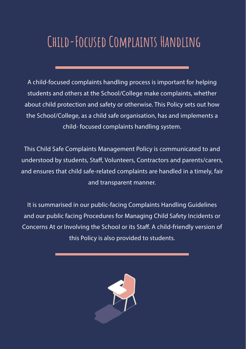# **Child-Focused Complaints Handling**

A child-focused complaints handling process is important for helping students and others at the School/College make complaints, whether about child protection and safety or otherwise. This Policy sets out how the School/College, as a child safe organisation, has and implements a child- focused complaints handling system.

This Child Safe Complaints Management Policy is communicated to and understood by students, Staff, Volunteers, Contractors and parents/carers, and ensures that child safe-related complaints are handled in a timely, fair and transparent manner.

It is summarised in our public-facing Complaints Handling Guidelines and our public facing Procedures for Managing Child Safety Incidents or Concerns At or Involving the School or its Staff. A child-friendly version of this Policy is also provided to students.

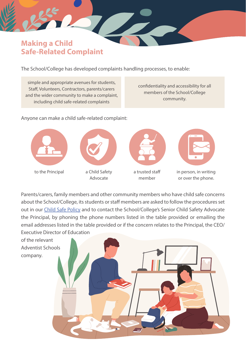## Making a Child Safe-Related Complaint

The School/College has developed complaints handling processes, to enable:

simple and appropriate avenues for students, Staff, Volunteers, Contractors, parents/carers and the wider community to make a complaint, including child safe-related complaints

confidentiality and accessibility for all members of the School/College community.

#### Anyone can make a child safe-related complaint:



Parents/carers, family members and other community members who have child safe concerns about the School/College, its students or staff members are asked to follow the procedures set out in our Child Safe Policy and to contact the School/College's Senior Child Safety Advocate the Principal, by phoning the phone numbers listed in the table provided or emailing the email addresses listed in the table provided or if the concern relates to the Principal, the CEO/ Executive Director of Education

of the relevant Adventist Schools company.

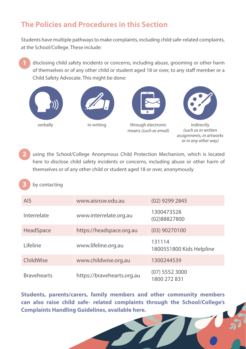# The Policies and Procedures in this Section

Students have multiple pathways to make complaints, including child safe-related complaints, at the School/College. These include:

disclosing child safety incidents or concerns, including abuse, grooming or other harm of themselves or of any other child or student aged 18 or over, to any staff member or a Child Safety Advocate. This might be done:



using the School/College Anonymous Child Protection Mechanism, which is located here to disclose child safety incidents or concerns, including abuse or other harm of themselves or of any other child or student aged 18 or over, anonymously 2

#### by contacting 3

| <b>AIS</b>         | www.aisnsw.edu.au          | $(02)$ 9299 2845                   |
|--------------------|----------------------------|------------------------------------|
| Interrelate        | www.interrelate.org.au     | 1300473528<br>(02)88827800         |
| HeadSpace          | https://headspace.org.au   | $(03)$ 90270100                    |
| l ifeline          | www.lifeline.org.au        | 131114<br>1800551800 Kids Helpline |
| ChildWise          | www.childwise.org.au       | 1300244539                         |
| <b>Bravehearts</b> | https://bravehearts.org.au | $(07)$ 5552 3000<br>1800 272 831   |

**Students, parents/carers, family members and other community members can also raise child safe- related complaints through the School/College's Complaints Handling Guidelines, available here.**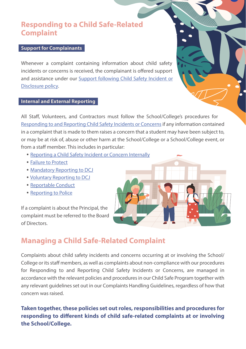### Responding to a Child Safe-Related Complaint

#### **Support for Complainants**

Whenever a complaint containing information about child safety incidents or concerns is received, the complainant is offered support and assistance under our Support following Child Safety Incident or Disclosure policy.

#### **Internal and External Reporting**

All Staff, Volunteers, and Contractors must follow the School/College's procedures for Responding to and Reporting Child Safety Incidents or Concerns if any information contained in a complaint that is made to them raises a concern that a student may have been subject to, or may be at risk of, abuse or other harm at the School/College or a School/College event, or from a staff member. This includes in particular:

- Reporting a Child Safety Incident or Concern Internally
- Failure to Protect
- Mandatory Reporting to DCJ
- Voluntary Reporting to DCJ
- Reportable Conduct
- Reporting to Police

If a complaint is about the Principal, the complaint must be referred to the Board of Directors.

# Managing a Child Safe-Related Complaint

Complaints about child safety incidents and concerns occurring at or involving the School/ College or its staff members, as well as complaints about non-compliance with our procedures for Responding to and Reporting Child Safety Incidents or Concerns, are managed in accordance with the relevant policies and procedures in our Child Safe Program together with any relevant guidelines set out in our Complaints Handling Guidelines, regardless of how that concern was raised.

### **Taken together, these policies set out roles, responsibilities and procedures for responding to different kinds of child safe-related complaints at or involving the School/College.**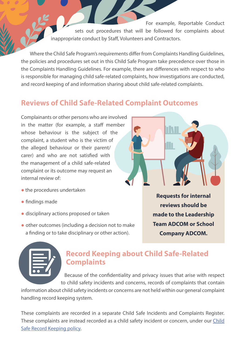For example, Reportable Conduct sets out procedures that will be followed for complaints about inappropriate conduct by Staff, Volunteers and Contractors.

Where the Child Safe Program's requirements differ from Complaints Handling Guidelines, the policies and procedures set out in this Child Safe Program take precedence over those in the Complaints Handling Guidelines. For example, there are differences with respect to who is responsible for managing child safe-related complaints, how investigations are conducted, and record keeping of and information sharing about child safe-related complaints.

# Reviews of Child Safe-Related Complaint Outcomes

Complainants or other persons who are involved in the matter (for example, a staff member whose behaviour is the subject of the complaint, a student who is the victim of the alleged behaviour or their parent/ carer) and who are not satisfied with the management of a child safe-related complaint or its outcome may request an internal review of:

- the procedures undertaken
- findings made
- disciplinary actions proposed or taken
- other outcomes (including a decision not to make a finding or to take disciplinary or other action).

**Requests for internal reviews should be made to the Leadership Team ADCOM or School Company ADCOM.**



# Record Keeping about Child Safe-Related **Complaints**

Because of the confidentiality and privacy issues that arise with respect to child safety incidents and concerns, records of complaints that contain

information about child safety incidents or concerns are not held within our general complaint handling record keeping system.

These complaints are recorded in a separate Child Safe Incidents and Complaints Register. These complaints are instead recorded as a child safety incident or concern, under our Child Safe Record Keeping policy.